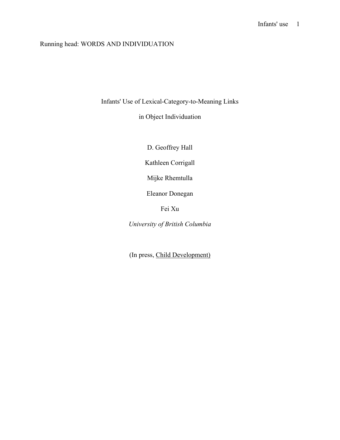# Running head: WORDS AND INDIVIDUATION

Infants' Use of Lexical-Category-to-Meaning Links

in Object Individuation

D. Geoffrey Hall

Kathleen Corrigall

Mijke Rhemtulla

Eleanor Donegan

Fei Xu

*University of British Columbia*

(In press, Child Development)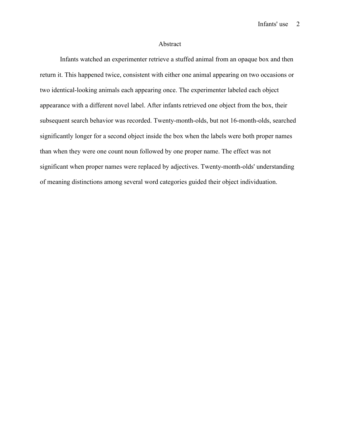# Abstract

Infants watched an experimenter retrieve a stuffed animal from an opaque box and then return it. This happened twice, consistent with either one animal appearing on two occasions or two identical-looking animals each appearing once. The experimenter labeled each object appearance with a different novel label. After infants retrieved one object from the box, their subsequent search behavior was recorded. Twenty-month-olds, but not 16-month-olds, searched significantly longer for a second object inside the box when the labels were both proper names than when they were one count noun followed by one proper name. The effect was not significant when proper names were replaced by adjectives. Twenty-month-olds' understanding of meaning distinctions among several word categories guided their object individuation.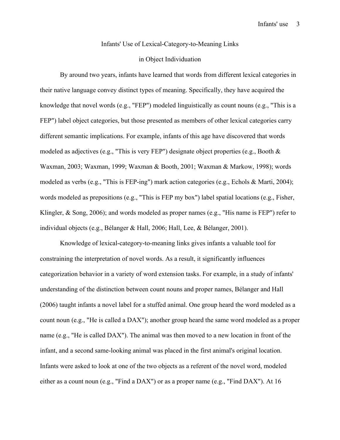## Infants' Use of Lexical-Category-to-Meaning Links

# in Object Individuation

By around two years, infants have learned that words from different lexical categories in their native language convey distinct types of meaning. Specifically, they have acquired the knowledge that novel words (e.g., "FEP") modeled linguistically as count nouns (e.g., "This is a FEP") label object categories, but those presented as members of other lexical categories carry different semantic implications. For example, infants of this age have discovered that words modeled as adjectives (e.g., "This is very FEP") designate object properties (e.g., Booth & Waxman, 2003; Waxman, 1999; Waxman & Booth, 2001; Waxman & Markow, 1998); words modeled as verbs (e.g., "This is FEP-ing") mark action categories (e.g., Echols & Marti, 2004); words modeled as prepositions (e.g., "This is FEP my box") label spatial locations (e.g., Fisher, Klingler, & Song, 2006); and words modeled as proper names (e.g., "His name is FEP") refer to individual objects (e.g., Bélanger & Hall, 2006; Hall, Lee, & Bélanger, 2001).

Knowledge of lexical-category-to-meaning links gives infants a valuable tool for constraining the interpretation of novel words. As a result, it significantly influences categorization behavior in a variety of word extension tasks. For example, in a study of infants' understanding of the distinction between count nouns and proper names, Bélanger and Hall (2006) taught infants a novel label for a stuffed animal. One group heard the word modeled as a count noun (e.g., "He is called a DAX"); another group heard the same word modeled as a proper name (e.g., "He is called DAX"). The animal was then moved to a new location in front of the infant, and a second same-looking animal was placed in the first animal's original location. Infants were asked to look at one of the two objects as a referent of the novel word, modeled either as a count noun (e.g., "Find a DAX") or as a proper name (e.g., "Find DAX"). At 16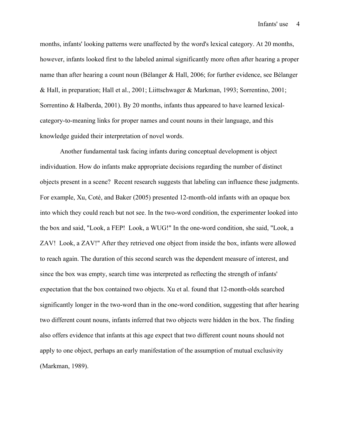months, infants' looking patterns were unaffected by the word's lexical category. At 20 months, however, infants looked first to the labeled animal significantly more often after hearing a proper name than after hearing a count noun (Bélanger & Hall, 2006; for further evidence, see Bélanger & Hall, in preparation; Hall et al., 2001; Liittschwager & Markman, 1993; Sorrentino, 2001; Sorrentino & Halberda, 2001). By 20 months, infants thus appeared to have learned lexicalcategory-to-meaning links for proper names and count nouns in their language, and this knowledge guided their interpretation of novel words.

Another fundamental task facing infants during conceptual development is object individuation. How do infants make appropriate decisions regarding the number of distinct objects present in a scene? Recent research suggests that labeling can influence these judgments. For example, Xu, Coté, and Baker (2005) presented 12-month-old infants with an opaque box into which they could reach but not see. In the two-word condition, the experimenter looked into the box and said, "Look, a FEP! Look, a WUG!" In the one-word condition, she said, "Look, a ZAV! Look, a ZAV!" After they retrieved one object from inside the box, infants were allowed to reach again. The duration of this second search was the dependent measure of interest, and since the box was empty, search time was interpreted as reflecting the strength of infants' expectation that the box contained two objects. Xu et al. found that 12-month-olds searched significantly longer in the two-word than in the one-word condition, suggesting that after hearing two different count nouns, infants inferred that two objects were hidden in the box. The finding also offers evidence that infants at this age expect that two different count nouns should not apply to one object, perhaps an early manifestation of the assumption of mutual exclusivity (Markman, 1989).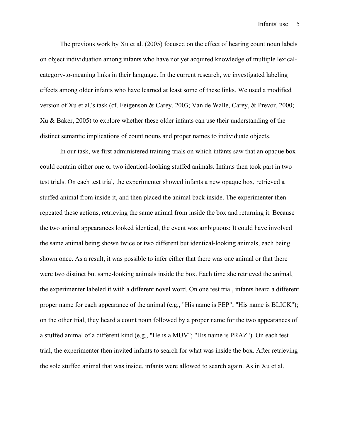The previous work by Xu et al. (2005) focused on the effect of hearing count noun labels on object individuation among infants who have not yet acquired knowledge of multiple lexicalcategory-to-meaning links in their language. In the current research, we investigated labeling effects among older infants who have learned at least some of these links. We used a modified version of Xu et al.'s task (cf. Feigenson & Carey, 2003; Van de Walle, Carey, & Prevor, 2000; Xu & Baker, 2005) to explore whether these older infants can use their understanding of the distinct semantic implications of count nouns and proper names to individuate objects.

In our task, we first administered training trials on which infants saw that an opaque box could contain either one or two identical-looking stuffed animals. Infants then took part in two test trials. On each test trial, the experimenter showed infants a new opaque box, retrieved a stuffed animal from inside it, and then placed the animal back inside. The experimenter then repeated these actions, retrieving the same animal from inside the box and returning it. Because the two animal appearances looked identical, the event was ambiguous: It could have involved the same animal being shown twice or two different but identical-looking animals, each being shown once. As a result, it was possible to infer either that there was one animal or that there were two distinct but same-looking animals inside the box. Each time she retrieved the animal, the experimenter labeled it with a different novel word. On one test trial, infants heard a different proper name for each appearance of the animal (e.g., "His name is FEP"; "His name is BLICK"); on the other trial, they heard a count noun followed by a proper name for the two appearances of a stuffed animal of a different kind (e.g., "He is a MUV"; "His name is PRAZ"). On each test trial, the experimenter then invited infants to search for what was inside the box. After retrieving the sole stuffed animal that was inside, infants were allowed to search again. As in Xu et al.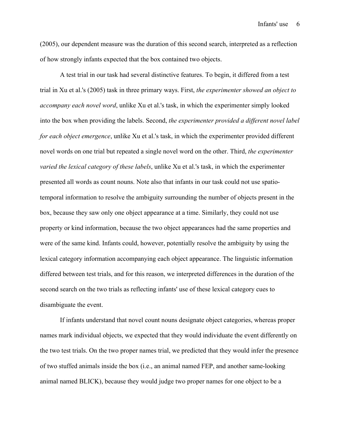(2005), our dependent measure was the duration of this second search, interpreted as a reflection of how strongly infants expected that the box contained two objects.

A test trial in our task had several distinctive features. To begin, it differed from a test trial in Xu et al.'s (2005) task in three primary ways. First, *the experimenter showed an object to accompany each novel word*, unlike Xu et al.'s task, in which the experimenter simply looked into the box when providing the labels. Second, *the experimenter provided a different novel label for each object emergence*, unlike Xu et al.'s task, in which the experimenter provided different novel words on one trial but repeated a single novel word on the other. Third, *the experimenter varied the lexical category of these labels*, unlike Xu et al.'s task, in which the experimenter presented all words as count nouns. Note also that infants in our task could not use spatiotemporal information to resolve the ambiguity surrounding the number of objects present in the box, because they saw only one object appearance at a time. Similarly, they could not use property or kind information, because the two object appearances had the same properties and were of the same kind. Infants could, however, potentially resolve the ambiguity by using the lexical category information accompanying each object appearance. The linguistic information differed between test trials, and for this reason, we interpreted differences in the duration of the second search on the two trials as reflecting infants' use of these lexical category cues to disambiguate the event.

If infants understand that novel count nouns designate object categories, whereas proper names mark individual objects, we expected that they would individuate the event differently on the two test trials. On the two proper names trial, we predicted that they would infer the presence of two stuffed animals inside the box (i.e., an animal named FEP, and another same-looking animal named BLICK), because they would judge two proper names for one object to be a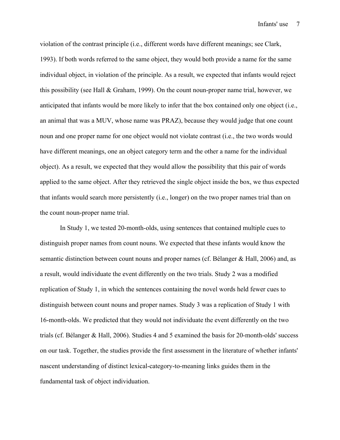violation of the contrast principle (i.e., different words have different meanings; see Clark, 1993). If both words referred to the same object, they would both provide a name for the same individual object, in violation of the principle. As a result, we expected that infants would reject this possibility (see Hall & Graham, 1999). On the count noun-proper name trial, however, we anticipated that infants would be more likely to infer that the box contained only one object (i.e., an animal that was a MUV, whose name was PRAZ), because they would judge that one count noun and one proper name for one object would not violate contrast (i.e., the two words would have different meanings, one an object category term and the other a name for the individual object). As a result, we expected that they would allow the possibility that this pair of words applied to the same object. After they retrieved the single object inside the box, we thus expected that infants would search more persistently (i.e., longer) on the two proper names trial than on the count noun-proper name trial.

In Study 1, we tested 20-month-olds, using sentences that contained multiple cues to distinguish proper names from count nouns. We expected that these infants would know the semantic distinction between count nouns and proper names (cf. Bélanger & Hall, 2006) and, as a result, would individuate the event differently on the two trials. Study 2 was a modified replication of Study 1, in which the sentences containing the novel words held fewer cues to distinguish between count nouns and proper names. Study 3 was a replication of Study 1 with 16-month-olds. We predicted that they would not individuate the event differently on the two trials (cf. Bélanger & Hall, 2006). Studies 4 and 5 examined the basis for 20-month-olds' success on our task. Together, the studies provide the first assessment in the literature of whether infants' nascent understanding of distinct lexical-category-to-meaning links guides them in the fundamental task of object individuation.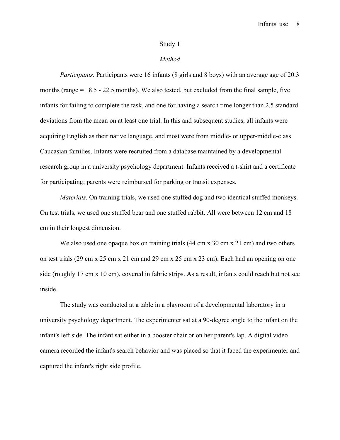#### Study 1

#### *Method*

*Participants.* Participants were 16 infants (8 girls and 8 boys) with an average age of 20.3 months (range  $= 18.5 - 22.5$  months). We also tested, but excluded from the final sample, five infants for failing to complete the task, and one for having a search time longer than 2.5 standard deviations from the mean on at least one trial. In this and subsequent studies, all infants were acquiring English as their native language, and most were from middle- or upper-middle-class Caucasian families. Infants were recruited from a database maintained by a developmental research group in a university psychology department. Infants received a t-shirt and a certificate for participating; parents were reimbursed for parking or transit expenses.

*Materials.* On training trials, we used one stuffed dog and two identical stuffed monkeys. On test trials, we used one stuffed bear and one stuffed rabbit. All were between 12 cm and 18 cm in their longest dimension.

We also used one opaque box on training trials (44 cm x 30 cm x 21 cm) and two others on test trials (29 cm x 25 cm x 21 cm and 29 cm x 25 cm x 23 cm). Each had an opening on one side (roughly 17 cm x 10 cm), covered in fabric strips. As a result, infants could reach but not see inside.

The study was conducted at a table in a playroom of a developmental laboratory in a university psychology department. The experimenter sat at a 90-degree angle to the infant on the infant's left side. The infant sat either in a booster chair or on her parent's lap. A digital video camera recorded the infant's search behavior and was placed so that it faced the experimenter and captured the infant's right side profile.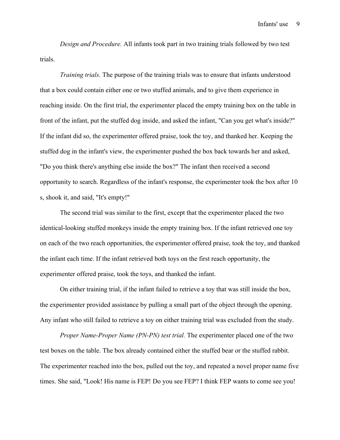*Design and Procedure.* All infants took part in two training trials followed by two test trials.

*Training trials*. The purpose of the training trials was to ensure that infants understood that a box could contain either one or two stuffed animals, and to give them experience in reaching inside. On the first trial, the experimenter placed the empty training box on the table in front of the infant, put the stuffed dog inside, and asked the infant, "Can you get what's inside?" If the infant did so, the experimenter offered praise, took the toy, and thanked her. Keeping the stuffed dog in the infant's view, the experimenter pushed the box back towards her and asked, "Do you think there's anything else inside the box?" The infant then received a second opportunity to search. Regardless of the infant's response, the experimenter took the box after 10 s, shook it, and said, "It's empty!"

The second trial was similar to the first, except that the experimenter placed the two identical-looking stuffed monkeys inside the empty training box. If the infant retrieved one toy on each of the two reach opportunities, the experimenter offered praise, took the toy, and thanked the infant each time. If the infant retrieved both toys on the first reach opportunity, the experimenter offered praise, took the toys, and thanked the infant.

On either training trial, if the infant failed to retrieve a toy that was still inside the box, the experimenter provided assistance by pulling a small part of the object through the opening. Any infant who still failed to retrieve a toy on either training trial was excluded from the study.

*Proper Name-Proper Name (PN-PN) test trial.* The experimenter placed one of the two test boxes on the table. The box already contained either the stuffed bear or the stuffed rabbit. The experimenter reached into the box, pulled out the toy, and repeated a novel proper name five times. She said, "Look! His name is FEP! Do you see FEP? I think FEP wants to come see you!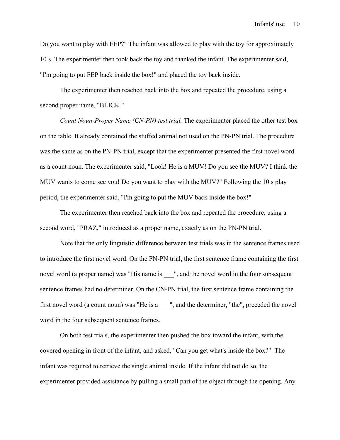Do you want to play with FEP?" The infant was allowed to play with the toy for approximately 10 s. The experimenter then took back the toy and thanked the infant. The experimenter said, "I'm going to put FEP back inside the box!" and placed the toy back inside.

The experimenter then reached back into the box and repeated the procedure, using a second proper name, "BLICK."

*Count Noun-Proper Name (CN-PN) test trial.* The experimenter placed the other test box on the table. It already contained the stuffed animal not used on the PN-PN trial. The procedure was the same as on the PN-PN trial, except that the experimenter presented the first novel word as a count noun. The experimenter said, "Look! He is a MUV! Do you see the MUV? I think the MUV wants to come see you! Do you want to play with the MUV?" Following the 10 s play period, the experimenter said, "I'm going to put the MUV back inside the box!"

The experimenter then reached back into the box and repeated the procedure, using a second word, "PRAZ," introduced as a proper name, exactly as on the PN-PN trial.

Note that the only linguistic difference between test trials was in the sentence frames used to introduce the first novel word. On the PN-PN trial, the first sentence frame containing the first novel word (a proper name) was "His name is \_\_\_", and the novel word in the four subsequent sentence frames had no determiner. On the CN-PN trial, the first sentence frame containing the first novel word (a count noun) was "He is a \_\_\_", and the determiner, "the", preceded the novel word in the four subsequent sentence frames.

On both test trials, the experimenter then pushed the box toward the infant, with the covered opening in front of the infant, and asked, "Can you get what's inside the box?" The infant was required to retrieve the single animal inside. If the infant did not do so, the experimenter provided assistance by pulling a small part of the object through the opening. Any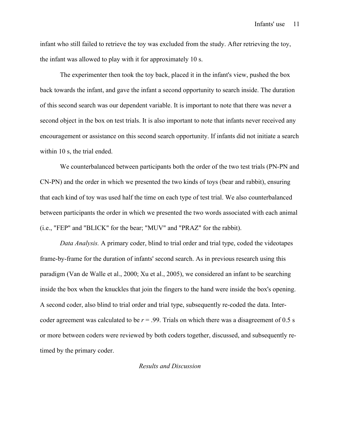infant who still failed to retrieve the toy was excluded from the study. After retrieving the toy, the infant was allowed to play with it for approximately 10 s.

The experimenter then took the toy back, placed it in the infant's view, pushed the box back towards the infant, and gave the infant a second opportunity to search inside. The duration of this second search was our dependent variable. It is important to note that there was never a second object in the box on test trials. It is also important to note that infants never received any encouragement or assistance on this second search opportunity. If infants did not initiate a search within 10 s, the trial ended.

We counterbalanced between participants both the order of the two test trials (PN-PN and CN-PN) and the order in which we presented the two kinds of toys (bear and rabbit), ensuring that each kind of toy was used half the time on each type of test trial. We also counterbalanced between participants the order in which we presented the two words associated with each animal (i.e., "FEP" and "BLICK" for the bear; "MUV" and "PRAZ" for the rabbit).

*Data Analysis.* A primary coder, blind to trial order and trial type, coded the videotapes frame-by-frame for the duration of infants' second search. As in previous research using this paradigm (Van de Walle et al., 2000; Xu et al., 2005), we considered an infant to be searching inside the box when the knuckles that join the fingers to the hand were inside the box's opening. A second coder, also blind to trial order and trial type, subsequently re-coded the data. Intercoder agreement was calculated to be  $r = .99$ . Trials on which there was a disagreement of 0.5 s or more between coders were reviewed by both coders together, discussed, and subsequently retimed by the primary coder.

#### *Results and Discussion*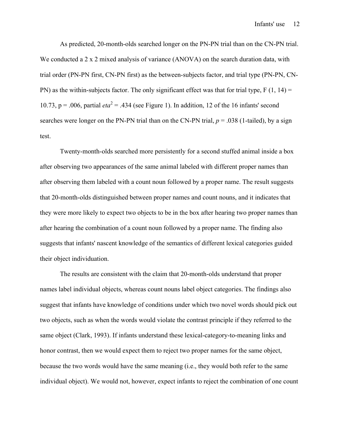As predicted, 20-month-olds searched longer on the PN-PN trial than on the CN-PN trial. We conducted a 2 x 2 mixed analysis of variance (ANOVA) on the search duration data, with trial order (PN-PN first, CN-PN first) as the between-subjects factor, and trial type (PN-PN, CN-PN) as the within-subjects factor. The only significant effect was that for trial type,  $F(1, 14) =$ 10.73,  $p = .006$ , partial *eta*<sup>2</sup> = .434 (see Figure 1). In addition, 12 of the 16 infants' second searches were longer on the PN-PN trial than on the CN-PN trial,  $p = .038$  (1-tailed), by a sign test.

Twenty-month-olds searched more persistently for a second stuffed animal inside a box after observing two appearances of the same animal labeled with different proper names than after observing them labeled with a count noun followed by a proper name. The result suggests that 20-month-olds distinguished between proper names and count nouns, and it indicates that they were more likely to expect two objects to be in the box after hearing two proper names than after hearing the combination of a count noun followed by a proper name. The finding also suggests that infants' nascent knowledge of the semantics of different lexical categories guided their object individuation.

The results are consistent with the claim that 20-month-olds understand that proper names label individual objects, whereas count nouns label object categories. The findings also suggest that infants have knowledge of conditions under which two novel words should pick out two objects, such as when the words would violate the contrast principle if they referred to the same object (Clark, 1993). If infants understand these lexical-category-to-meaning links and honor contrast, then we would expect them to reject two proper names for the same object, because the two words would have the same meaning (i.e., they would both refer to the same individual object). We would not, however, expect infants to reject the combination of one count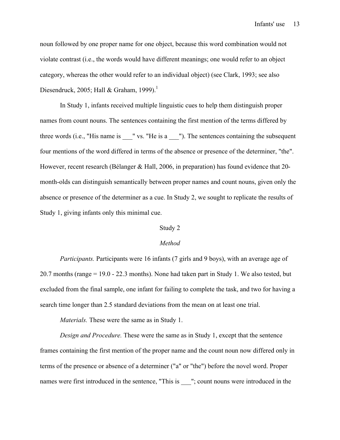noun followed by one proper name for one object, because this word combination would not violate contrast (i.e., the words would have different meanings; one would refer to an object category, whereas the other would refer to an individual object) (see Clark, 1993; see also Diesendruck, 2005; Hall & Graham, 1999).<sup>1</sup>

In Study 1, infants received multiple linguistic cues to help them distinguish proper names from count nouns. The sentences containing the first mention of the terms differed by three words (i.e., "His name is \_\_\_" vs. "He is a \_\_\_"). The sentences containing the subsequent four mentions of the word differed in terms of the absence or presence of the determiner, "the". However, recent research (Bélanger & Hall, 2006, in preparation) has found evidence that 20 month-olds can distinguish semantically between proper names and count nouns, given only the absence or presence of the determiner as a cue. In Study 2, we sought to replicate the results of Study 1, giving infants only this minimal cue.

## Study 2

## *Method*

*Participants.* Participants were 16 infants (7 girls and 9 boys), with an average age of 20.7 months (range = 19.0 - 22.3 months). None had taken part in Study 1. We also tested, but excluded from the final sample, one infant for failing to complete the task, and two for having a search time longer than 2.5 standard deviations from the mean on at least one trial.

*Materials.* These were the same as in Study 1.

*Design and Procedure.* These were the same as in Study 1, except that the sentence frames containing the first mention of the proper name and the count noun now differed only in terms of the presence or absence of a determiner ("a" or "the") before the novel word. Proper names were first introduced in the sentence, "This is \_\_\_"; count nouns were introduced in the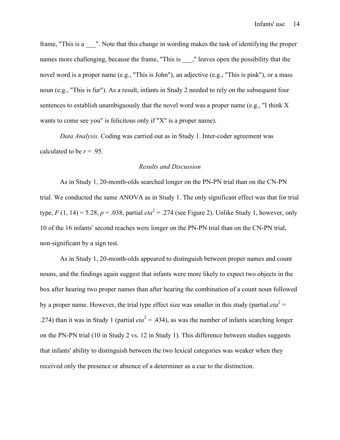frame, "This is a \_\_\_". Note that this change in wording makes the task of identifying the proper names more challenging, because the frame, "This is \_\_\_," leaves open the possibility that the novel word is a proper name (e.g., "This is John"), an adjective (e.g., "This is pink"), or a mass noun (e.g., "This is fur"). As a result, infants in Study 2 needed to rely on the subsequent four sentences to establish unambiguously that the novel word was a proper name (e.g., "I think X wants to come see you" is felicitous only if "X" is a proper name).

*Data Analysis.* Coding was carried out as in Study 1. Inter-coder agreement was calculated to be  $r = .95$ .

## *Results and Discussion*

As in Study 1, 20-month-olds searched longer on the PN-PN trial than on the CN-PN trial. We conducted the same ANOVA as in Study 1. The only significant effect was that for trial type,  $F(1, 14) = 5.28$ ,  $p = .038$ , partial  $eta^2 = .274$  (see Figure 2). Unlike Study 1, however, only 10 of the 16 infants' second reaches were longer on the PN-PN trial than on the CN-PN trial, non-significant by a sign test.

As in Study 1, 20-month-olds appeared to distinguish between proper names and count nouns, and the findings again suggest that infants were more likely to expect two objects in the box after hearing two proper names than after hearing the combination of a count noun followed by a proper name. However, the trial type effect size was smaller in this study (partial  $eta^2 =$ .274) than it was in Study 1 (partial  $eta^2 = .434$ ), as was the number of infants searching longer on the PN-PN trial (10 in Study 2 vs. 12 in Study 1). This difference between studies suggests that infants' ability to distinguish between the two lexical categories was weaker when they received only the presence or absence of a determiner as a cue to the distinction.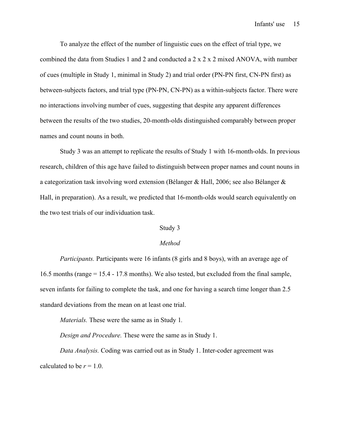To analyze the effect of the number of linguistic cues on the effect of trial type, we combined the data from Studies 1 and 2 and conducted a 2 x 2 x 2 mixed ANOVA, with number of cues (multiple in Study 1, minimal in Study 2) and trial order (PN-PN first, CN-PN first) as between-subjects factors, and trial type (PN-PN, CN-PN) as a within-subjects factor. There were no interactions involving number of cues, suggesting that despite any apparent differences between the results of the two studies, 20-month-olds distinguished comparably between proper names and count nouns in both.

Study 3 was an attempt to replicate the results of Study 1 with 16-month-olds. In previous research, children of this age have failed to distinguish between proper names and count nouns in a categorization task involving word extension (Bélanger & Hall, 2006; see also Bélanger & Hall, in preparation). As a result, we predicted that 16-month-olds would search equivalently on the two test trials of our individuation task.

## Study 3

#### *Method*

*Participants.* Participants were 16 infants (8 girls and 8 boys), with an average age of 16.5 months (range = 15.4 - 17.8 months). We also tested, but excluded from the final sample, seven infants for failing to complete the task, and one for having a search time longer than 2.5 standard deviations from the mean on at least one trial.

*Materials.* These were the same as in Study 1*.* 

*Design and Procedure.* These were the same as in Study 1.

*Data Analysis.* Coding was carried out as in Study 1. Inter-coder agreement was calculated to be  $r = 1.0$ .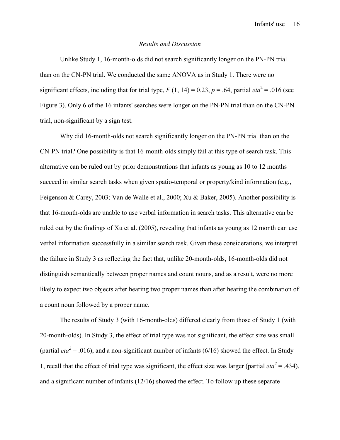#### *Results and Discussion*

Unlike Study 1, 16-month-olds did not search significantly longer on the PN-PN trial than on the CN-PN trial. We conducted the same ANOVA as in Study 1. There were no significant effects, including that for trial type,  $F(1, 14) = 0.23$ ,  $p = .64$ , partial *eta*<sup>2</sup> = .016 (see Figure 3). Only 6 of the 16 infants' searches were longer on the PN-PN trial than on the CN-PN trial, non-significant by a sign test.

Why did 16-month-olds not search significantly longer on the PN-PN trial than on the CN-PN trial? One possibility is that 16-month-olds simply fail at this type of search task. This alternative can be ruled out by prior demonstrations that infants as young as 10 to 12 months succeed in similar search tasks when given spatio-temporal or property/kind information (e.g., Feigenson & Carey, 2003; Van de Walle et al., 2000; Xu & Baker, 2005). Another possibility is that 16-month-olds are unable to use verbal information in search tasks. This alternative can be ruled out by the findings of Xu et al. (2005), revealing that infants as young as 12 month can use verbal information successfully in a similar search task. Given these considerations, we interpret the failure in Study 3 as reflecting the fact that, unlike 20-month-olds, 16-month-olds did not distinguish semantically between proper names and count nouns, and as a result, were no more likely to expect two objects after hearing two proper names than after hearing the combination of a count noun followed by a proper name.

The results of Study 3 (with 16-month-olds) differed clearly from those of Study 1 (with 20-month-olds). In Study 3, the effect of trial type was not significant, the effect size was small (partial  $eta^2$  = .016), and a non-significant number of infants (6/16) showed the effect. In Study 1, recall that the effect of trial type was significant, the effect size was larger (partial  $eta^2 = .434$ ), and a significant number of infants (12/16) showed the effect. To follow up these separate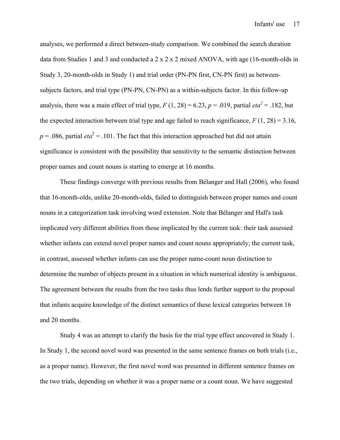analyses, we performed a direct between-study comparison. We combined the search duration data from Studies 1 and 3 and conducted a 2 x 2 x 2 mixed ANOVA, with age (16-month-olds in Study 3, 20-month-olds in Study 1) and trial order (PN-PN first, CN-PN first) as betweensubjects factors, and trial type (PN-PN, CN-PN) as a within-subjects factor. In this follow-up analysis, there was a main effect of trial type,  $F(1, 28) = 6.23$ ,  $p = .019$ , partial *eta*<sup>2</sup> = .182, but the expected interaction between trial type and age failed to reach significance,  $F(1, 28) = 3.16$ ,  $p = 0.086$ , partial *eta*<sup>2</sup> = .101. The fact that this interaction approached but did not attain significance is consistent with the possibility that sensitivity to the semantic distinction between proper names and count nouns is starting to emerge at 16 months.

These findings converge with previous results from Bélanger and Hall (2006), who found that 16-month-olds, unlike 20-month-olds, failed to distinguish between proper names and count nouns in a categorization task involving word extension. Note that Bélanger and Hall's task implicated very different abilities from those implicated by the current task: their task assessed whether infants can extend novel proper names and count nouns appropriately; the current task, in contrast, assessed whether infants can use the proper name-count noun distinction to determine the number of objects present in a situation in which numerical identity is ambiguous. The agreement between the results from the two tasks thus lends further support to the proposal that infants acquire knowledge of the distinct semantics of these lexical categories between 16 and 20 months.

Study 4 was an attempt to clarify the basis for the trial type effect uncovered in Study 1. In Study 1, the second novel word was presented in the same sentence frames on both trials (i.e., as a proper name). However, the first novel word was presented in different sentence frames on the two trials, depending on whether it was a proper name or a count noun. We have suggested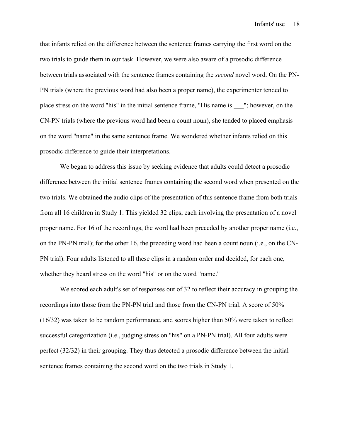that infants relied on the difference between the sentence frames carrying the first word on the two trials to guide them in our task. However, we were also aware of a prosodic difference between trials associated with the sentence frames containing the *second* novel word. On the PN-PN trials (where the previous word had also been a proper name), the experimenter tended to place stress on the word "his" in the initial sentence frame, "His name is \_\_\_"; however, on the CN-PN trials (where the previous word had been a count noun), she tended to placed emphasis on the word "name" in the same sentence frame. We wondered whether infants relied on this prosodic difference to guide their interpretations.

We began to address this issue by seeking evidence that adults could detect a prosodic difference between the initial sentence frames containing the second word when presented on the two trials. We obtained the audio clips of the presentation of this sentence frame from both trials from all 16 children in Study 1. This yielded 32 clips, each involving the presentation of a novel proper name. For 16 of the recordings, the word had been preceded by another proper name (i.e., on the PN-PN trial); for the other 16, the preceding word had been a count noun (i.e., on the CN-PN trial). Four adults listened to all these clips in a random order and decided, for each one, whether they heard stress on the word "his" or on the word "name."

We scored each adult's set of responses out of 32 to reflect their accuracy in grouping the recordings into those from the PN-PN trial and those from the CN-PN trial. A score of 50% (16/32) was taken to be random performance, and scores higher than 50% were taken to reflect successful categorization (i.e., judging stress on "his" on a PN-PN trial). All four adults were perfect (32/32) in their grouping. They thus detected a prosodic difference between the initial sentence frames containing the second word on the two trials in Study 1.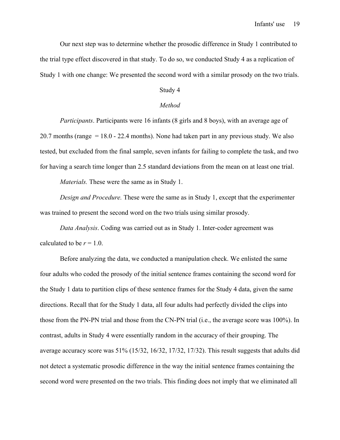Our next step was to determine whether the prosodic difference in Study 1 contributed to the trial type effect discovered in that study. To do so, we conducted Study 4 as a replication of Study 1 with one change: We presented the second word with a similar prosody on the two trials.

#### Study 4

## *Method*

*Participants*. Participants were 16 infants (8 girls and 8 boys), with an average age of 20.7 months (range  $= 18.0 - 22.4$  months). None had taken part in any previous study. We also tested, but excluded from the final sample, seven infants for failing to complete the task, and two for having a search time longer than 2.5 standard deviations from the mean on at least one trial.

*Materials.* These were the same as in Study 1.

*Design and Procedure.* These were the same as in Study 1, except that the experimenter was trained to present the second word on the two trials using similar prosody.

*Data Analysis*. Coding was carried out as in Study 1. Inter-coder agreement was calculated to be  $r = 1.0$ .

Before analyzing the data, we conducted a manipulation check. We enlisted the same four adults who coded the prosody of the initial sentence frames containing the second word for the Study 1 data to partition clips of these sentence frames for the Study 4 data, given the same directions. Recall that for the Study 1 data, all four adults had perfectly divided the clips into those from the PN-PN trial and those from the CN-PN trial (i.e., the average score was 100%). In contrast, adults in Study 4 were essentially random in the accuracy of their grouping. The average accuracy score was 51% (15/32, 16/32, 17/32, 17/32). This result suggests that adults did not detect a systematic prosodic difference in the way the initial sentence frames containing the second word were presented on the two trials. This finding does not imply that we eliminated all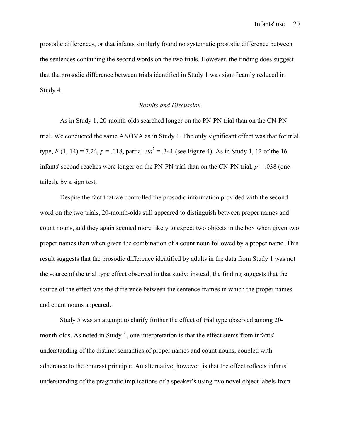prosodic differences, or that infants similarly found no systematic prosodic difference between the sentences containing the second words on the two trials. However, the finding does suggest that the prosodic difference between trials identified in Study 1 was significantly reduced in Study 4.

# *Results and Discussion*

As in Study 1, 20-month-olds searched longer on the PN-PN trial than on the CN-PN trial. We conducted the same ANOVA as in Study 1. The only significant effect was that for trial type,  $F(1, 14) = 7.24$ ,  $p = .018$ , partial  $eta^2 = .341$  (see Figure 4). As in Study 1, 12 of the 16 infants' second reaches were longer on the PN-PN trial than on the CN-PN trial,  $p = .038$  (onetailed), by a sign test.

Despite the fact that we controlled the prosodic information provided with the second word on the two trials, 20-month-olds still appeared to distinguish between proper names and count nouns, and they again seemed more likely to expect two objects in the box when given two proper names than when given the combination of a count noun followed by a proper name. This result suggests that the prosodic difference identified by adults in the data from Study 1 was not the source of the trial type effect observed in that study; instead, the finding suggests that the source of the effect was the difference between the sentence frames in which the proper names and count nouns appeared.

Study 5 was an attempt to clarify further the effect of trial type observed among 20 month-olds. As noted in Study 1, one interpretation is that the effect stems from infants' understanding of the distinct semantics of proper names and count nouns, coupled with adherence to the contrast principle. An alternative, however, is that the effect reflects infants' understanding of the pragmatic implications of a speaker's using two novel object labels from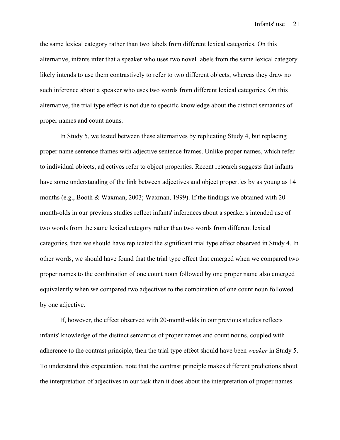the same lexical category rather than two labels from different lexical categories. On this alternative, infants infer that a speaker who uses two novel labels from the same lexical category likely intends to use them contrastively to refer to two different objects, whereas they draw no such inference about a speaker who uses two words from different lexical categories. On this alternative, the trial type effect is not due to specific knowledge about the distinct semantics of proper names and count nouns.

In Study 5, we tested between these alternatives by replicating Study 4, but replacing proper name sentence frames with adjective sentence frames. Unlike proper names, which refer to individual objects, adjectives refer to object properties. Recent research suggests that infants have some understanding of the link between adjectives and object properties by as young as 14 months (e.g., Booth & Waxman, 2003; Waxman, 1999). If the findings we obtained with 20 month-olds in our previous studies reflect infants' inferences about a speaker's intended use of two words from the same lexical category rather than two words from different lexical categories, then we should have replicated the significant trial type effect observed in Study 4. In other words, we should have found that the trial type effect that emerged when we compared two proper names to the combination of one count noun followed by one proper name also emerged equivalently when we compared two adjectives to the combination of one count noun followed by one adjective.

If, however, the effect observed with 20-month-olds in our previous studies reflects infants' knowledge of the distinct semantics of proper names and count nouns, coupled with adherence to the contrast principle, then the trial type effect should have been *weaker* in Study 5. To understand this expectation, note that the contrast principle makes different predictions about the interpretation of adjectives in our task than it does about the interpretation of proper names.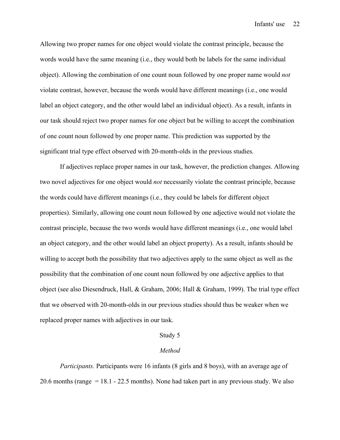Allowing two proper names for one object would violate the contrast principle, because the words would have the same meaning (i.e., they would both be labels for the same individual object). Allowing the combination of one count noun followed by one proper name would *not* violate contrast, however, because the words would have different meanings (i.e., one would label an object category, and the other would label an individual object). As a result, infants in our task should reject two proper names for one object but be willing to accept the combination of one count noun followed by one proper name. This prediction was supported by the significant trial type effect observed with 20-month-olds in the previous studies.

If adjectives replace proper names in our task, however, the prediction changes. Allowing two novel adjectives for one object would *not* necessarily violate the contrast principle, because the words could have different meanings (i.e., they could be labels for different object properties). Similarly, allowing one count noun followed by one adjective would not violate the contrast principle, because the two words would have different meanings (i.e., one would label an object category, and the other would label an object property). As a result, infants should be willing to accept both the possibility that two adjectives apply to the same object as well as the possibility that the combination of one count noun followed by one adjective applies to that object (see also Diesendruck, Hall, & Graham, 2006; Hall & Graham, 1999). The trial type effect that we observed with 20-month-olds in our previous studies should thus be weaker when we replaced proper names with adjectives in our task.

## Study 5

#### *Method*

*Participants.* Participants were 16 infants (8 girls and 8 boys), with an average age of 20.6 months (range = 18.1 - 22.5 months). None had taken part in any previous study. We also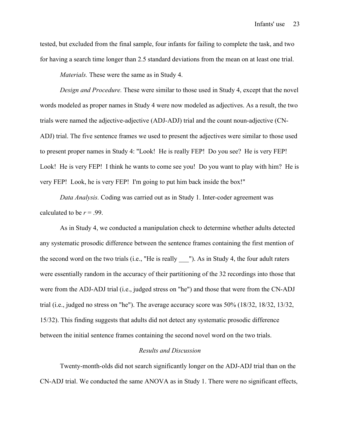tested, but excluded from the final sample, four infants for failing to complete the task, and two for having a search time longer than 2.5 standard deviations from the mean on at least one trial.

*Materials.* These were the same as in Study 4.

*Design and Procedure.* These were similar to those used in Study 4, except that the novel words modeled as proper names in Study 4 were now modeled as adjectives. As a result, the two trials were named the adjective-adjective (ADJ-ADJ) trial and the count noun-adjective (CN-ADJ) trial. The five sentence frames we used to present the adjectives were similar to those used to present proper names in Study 4: "Look! He is really FEP! Do you see? He is very FEP! Look! He is very FEP! I think he wants to come see you! Do you want to play with him? He is very FEP! Look, he is very FEP! I'm going to put him back inside the box!"

*Data Analysis.* Coding was carried out as in Study 1. Inter-coder agreement was calculated to be  $r = .99$ .

As in Study 4, we conducted a manipulation check to determine whether adults detected any systematic prosodic difference between the sentence frames containing the first mention of the second word on the two trials (i.e., "He is really \_\_\_"). As in Study 4, the four adult raters were essentially random in the accuracy of their partitioning of the 32 recordings into those that were from the ADJ-ADJ trial (i.e., judged stress on "he") and those that were from the CN-ADJ trial (i.e., judged no stress on "he"). The average accuracy score was 50% (18/32, 18/32, 13/32, 15/32). This finding suggests that adults did not detect any systematic prosodic difference between the initial sentence frames containing the second novel word on the two trials.

# *Results and Discussion*

Twenty-month-olds did not search significantly longer on the ADJ-ADJ trial than on the CN-ADJ trial. We conducted the same ANOVA as in Study 1. There were no significant effects,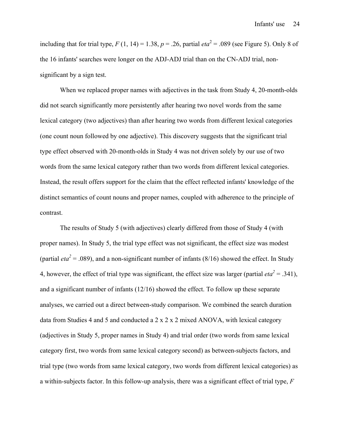including that for trial type,  $F(1, 14) = 1.38$ ,  $p = .26$ , partial  $eta^2 = .089$  (see Figure 5). Only 8 of the 16 infants' searches were longer on the ADJ-ADJ trial than on the CN-ADJ trial, nonsignificant by a sign test.

When we replaced proper names with adjectives in the task from Study 4, 20-month-olds did not search significantly more persistently after hearing two novel words from the same lexical category (two adjectives) than after hearing two words from different lexical categories (one count noun followed by one adjective). This discovery suggests that the significant trial type effect observed with 20-month-olds in Study 4 was not driven solely by our use of two words from the same lexical category rather than two words from different lexical categories. Instead, the result offers support for the claim that the effect reflected infants' knowledge of the distinct semantics of count nouns and proper names, coupled with adherence to the principle of contrast.

The results of Study 5 (with adjectives) clearly differed from those of Study 4 (with proper names). In Study 5, the trial type effect was not significant, the effect size was modest (partial *eta*<sup>2</sup> = .089), and a non-significant number of infants (8/16) showed the effect. In Study 4, however, the effect of trial type was significant, the effect size was larger (partial  $eta^2 = .341$ ), and a significant number of infants (12/16) showed the effect. To follow up these separate analyses, we carried out a direct between-study comparison. We combined the search duration data from Studies 4 and 5 and conducted a 2 x 2 x 2 mixed ANOVA, with lexical category (adjectives in Study 5, proper names in Study 4) and trial order (two words from same lexical category first, two words from same lexical category second) as between-subjects factors, and trial type (two words from same lexical category, two words from different lexical categories) as a within-subjects factor. In this follow-up analysis, there was a significant effect of trial type, *F*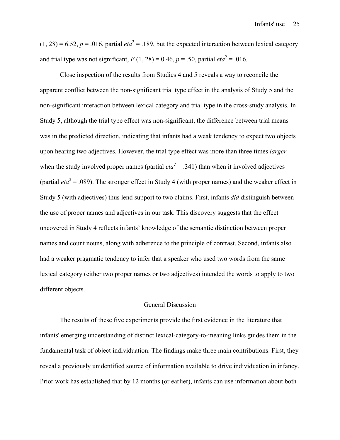$(1, 28) = 6.52$ ,  $p = .016$ , partial *eta*<sup>2</sup> = .189, but the expected interaction between lexical category and trial type was not significant,  $F(1, 28) = 0.46$ ,  $p = .50$ , partial *eta*<sup>2</sup> = .016.

Close inspection of the results from Studies 4 and 5 reveals a way to reconcile the apparent conflict between the non-significant trial type effect in the analysis of Study 5 and the non-significant interaction between lexical category and trial type in the cross-study analysis. In Study 5, although the trial type effect was non-significant, the difference between trial means was in the predicted direction, indicating that infants had a weak tendency to expect two objects upon hearing two adjectives. However, the trial type effect was more than three times *larger*  when the study involved proper names (partial  $eta^2 = .341$ ) than when it involved adjectives (partial  $eta^2$  = .089). The stronger effect in Study 4 (with proper names) and the weaker effect in Study 5 (with adjectives) thus lend support to two claims. First, infants *did* distinguish between the use of proper names and adjectives in our task. This discovery suggests that the effect uncovered in Study 4 reflects infants' knowledge of the semantic distinction between proper names and count nouns, along with adherence to the principle of contrast. Second, infants also had a weaker pragmatic tendency to infer that a speaker who used two words from the same lexical category (either two proper names or two adjectives) intended the words to apply to two different objects.

## General Discussion

The results of these five experiments provide the first evidence in the literature that infants' emerging understanding of distinct lexical-category-to-meaning links guides them in the fundamental task of object individuation. The findings make three main contributions. First, they reveal a previously unidentified source of information available to drive individuation in infancy. Prior work has established that by 12 months (or earlier), infants can use information about both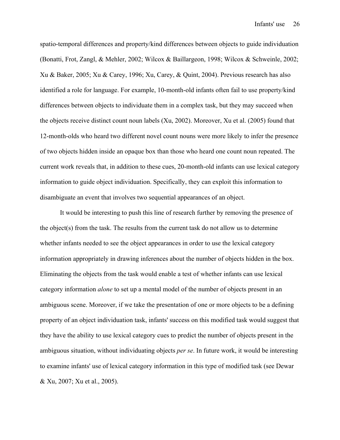spatio-temporal differences and property/kind differences between objects to guide individuation (Bonatti, Frot, Zangl, & Mehler, 2002; Wilcox & Baillargeon, 1998; Wilcox & Schweinle, 2002; Xu & Baker, 2005; Xu & Carey, 1996; Xu, Carey, & Quint, 2004). Previous research has also identified a role for language. For example, 10-month-old infants often fail to use property/kind differences between objects to individuate them in a complex task, but they may succeed when the objects receive distinct count noun labels (Xu, 2002). Moreover, Xu et al. (2005) found that 12-month-olds who heard two different novel count nouns were more likely to infer the presence of two objects hidden inside an opaque box than those who heard one count noun repeated. The current work reveals that, in addition to these cues, 20-month-old infants can use lexical category information to guide object individuation. Specifically, they can exploit this information to disambiguate an event that involves two sequential appearances of an object.

It would be interesting to push this line of research further by removing the presence of the object(s) from the task. The results from the current task do not allow us to determine whether infants needed to see the object appearances in order to use the lexical category information appropriately in drawing inferences about the number of objects hidden in the box. Eliminating the objects from the task would enable a test of whether infants can use lexical category information *alone* to set up a mental model of the number of objects present in an ambiguous scene. Moreover, if we take the presentation of one or more objects to be a defining property of an object individuation task, infants' success on this modified task would suggest that they have the ability to use lexical category cues to predict the number of objects present in the ambiguous situation, without individuating objects *per se*. In future work, it would be interesting to examine infants' use of lexical category information in this type of modified task (see Dewar & Xu, 2007; Xu et al., 2005).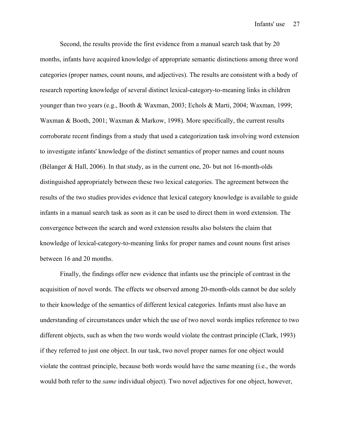Second, the results provide the first evidence from a manual search task that by 20 months, infants have acquired knowledge of appropriate semantic distinctions among three word categories (proper names, count nouns, and adjectives). The results are consistent with a body of research reporting knowledge of several distinct lexical-category-to-meaning links in children younger than two years (e.g., Booth & Waxman, 2003; Echols & Marti, 2004; Waxman, 1999; Waxman & Booth, 2001; Waxman & Markow, 1998). More specifically, the current results corroborate recent findings from a study that used a categorization task involving word extension to investigate infants' knowledge of the distinct semantics of proper names and count nouns (Bélanger & Hall, 2006). In that study, as in the current one, 20- but not 16-month-olds distinguished appropriately between these two lexical categories. The agreement between the results of the two studies provides evidence that lexical category knowledge is available to guide infants in a manual search task as soon as it can be used to direct them in word extension. The convergence between the search and word extension results also bolsters the claim that knowledge of lexical-category-to-meaning links for proper names and count nouns first arises between 16 and 20 months.

Finally, the findings offer new evidence that infants use the principle of contrast in the acquisition of novel words. The effects we observed among 20-month-olds cannot be due solely to their knowledge of the semantics of different lexical categories. Infants must also have an understanding of circumstances under which the use of two novel words implies reference to two different objects, such as when the two words would violate the contrast principle (Clark, 1993) if they referred to just one object. In our task, two novel proper names for one object would violate the contrast principle, because both words would have the same meaning (i.e., the words would both refer to the *same* individual object). Two novel adjectives for one object, however,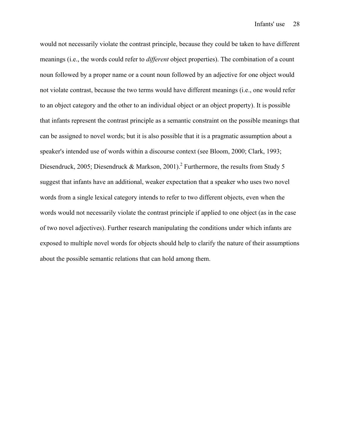would not necessarily violate the contrast principle, because they could be taken to have different meanings (i.e., the words could refer to *different* object properties). The combination of a count noun followed by a proper name or a count noun followed by an adjective for one object would not violate contrast, because the two terms would have different meanings (i.e., one would refer to an object category and the other to an individual object or an object property). It is possible that infants represent the contrast principle as a semantic constraint on the possible meanings that can be assigned to novel words; but it is also possible that it is a pragmatic assumption about a speaker's intended use of words within a discourse context (see Bloom, 2000; Clark, 1993; Diesendruck, 2005; Diesendruck & Markson, 2001).<sup>2</sup> Furthermore, the results from Study 5 suggest that infants have an additional, weaker expectation that a speaker who uses two novel words from a single lexical category intends to refer to two different objects, even when the words would not necessarily violate the contrast principle if applied to one object (as in the case of two novel adjectives). Further research manipulating the conditions under which infants are exposed to multiple novel words for objects should help to clarify the nature of their assumptions about the possible semantic relations that can hold among them.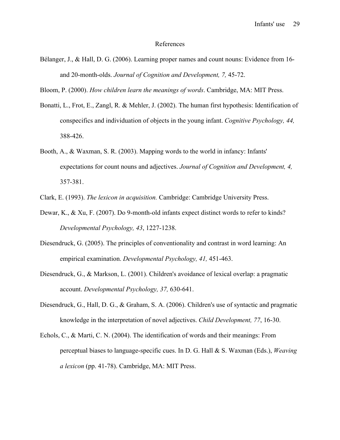#### References

- Bélanger, J., & Hall, D. G. (2006). Learning proper names and count nouns: Evidence from 16 and 20-month-olds. *Journal of Cognition and Development, 7,* 45-72.
- Bloom, P. (2000). *How children learn the meanings of words*. Cambridge, MA: MIT Press.
- Bonatti, L., Frot, E., Zangl, R. & Mehler, J. (2002). The human first hypothesis: Identification of conspecifics and individuation of objects in the young infant. *Cognitive Psychology, 44,* 388-426.
- Booth, A., & Waxman, S. R. (2003). Mapping words to the world in infancy: Infants' expectations for count nouns and adjectives. *Journal of Cognition and Development, 4,* 357-381.

Clark, E. (1993). *The lexicon in acquisition.* Cambridge: Cambridge University Press.

- Dewar, K., & Xu, F. (2007). Do 9-month-old infants expect distinct words to refer to kinds? *Developmental Psychology, 43*, 1227-1238.
- Diesendruck, G. (2005). The principles of conventionality and contrast in word learning: An empirical examination. *Developmental Psychology, 41,* 451-463.
- Diesendruck, G., & Markson, L. (2001). Children's avoidance of lexical overlap: a pragmatic account. *Developmental Psychology, 37,* 630-641.
- Diesendruck, G., Hall, D. G., & Graham, S. A. (2006). Children's use of syntactic and pragmatic knowledge in the interpretation of novel adjectives. *Child Development, 77*, 16-30.
- Echols, C., & Marti, C. N. (2004). The identification of words and their meanings: From perceptual biases to language-specific cues. In D. G. Hall & S. Waxman (Eds.), *Weaving a lexicon* (pp. 41-78). Cambridge, MA: MIT Press.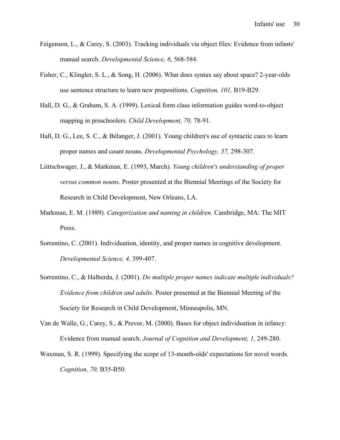- Feigenson, L., & Carey, S. (2003). Tracking individuals via object files: Evidence from infants' manual search. *Developmental Science, 6*, 568-584.
- Fisher, C., Klingler, S. L., & Song, H. (2006). What does syntax say about space? 2-year-olds use sentence structure to learn new prepositions. *Cognition, 101,* B19-B29.
- Hall, D. G., & Graham, S. A. (1999). Lexical form class information guides word-to-object mapping in preschoolers. *Child Development, 70,* 78-91.
- Hall, D. G., Lee, S. C., & Bélanger, J. (2001). Young children's use of syntactic cues to learn proper names and count nouns. *Developmental Psychology, 37,* 298-307.
- Liittschwager, J., & Markman, E. (1993, March). *Young children's understanding of proper versus common nouns*. Poster presented at the Biennial Meetings of the Society for Research in Child Development, New Orleans, LA.
- Markman, E. M. (1989). *Categorization and naming in children.* Cambridge, MA: The MIT Press.
- Sorrentino, C. (2001). Individuation, identity, and proper names in cognitive development. *Developmental Science, 4,* 399-407.
- Sorrentino, C., & Halberda, J. (2001). *Do multiple proper names indicate multiple individuals? Evidence from children and adults*. Poster presented at the Biennial Meeting of the Society for Research in Child Development, Minneapolis, MN.
- Van de Walle, G., Carey, S., & Prevor, M. (2000). Bases for object individuation in infancy: Evidence from manual search. *Journal of Cognition and Development, 1,* 249-280.
- Waxman, S. R. (1999). Specifying the scope of 13-month-olds' expectations for novel words. *Cognition, 70,* B35-B50.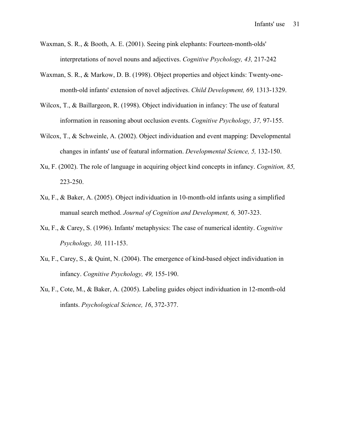- Waxman, S. R., & Booth, A. E. (2001). Seeing pink elephants: Fourteen-month-olds' interpretations of novel nouns and adjectives. *Cognitive Psychology, 43,* 217-242
- Waxman, S. R., & Markow, D. B. (1998). Object properties and object kinds: Twenty-onemonth-old infants' extension of novel adjectives. *Child Development, 69,* 1313-1329.
- Wilcox, T., & Baillargeon, R. (1998). Object individuation in infancy: The use of featural information in reasoning about occlusion events. *Cognitive Psychology, 37,* 97-155.
- Wilcox, T., & Schweinle, A. (2002). Object individuation and event mapping: Developmental changes in infants' use of featural information. *Developmental Science, 5,* 132-150.
- Xu, F. (2002). The role of language in acquiring object kind concepts in infancy. *Cognition, 85,* 223-250.
- Xu, F., & Baker, A. (2005). Object individuation in 10-month-old infants using a simplified manual search method. *Journal of Cognition and Development, 6,* 307-323.
- Xu, F., & Carey, S. (1996). Infants' metaphysics: The case of numerical identity. *Cognitive Psychology, 30,* 111-153.
- Xu, F., Carey, S., & Quint, N. (2004). The emergence of kind-based object individuation in infancy. *Cognitive Psychology, 49,* 155-190.
- Xu, F., Cote, M., & Baker, A. (2005). Labeling guides object individuation in 12-month-old infants. *Psychological Science, 16*, 372-377.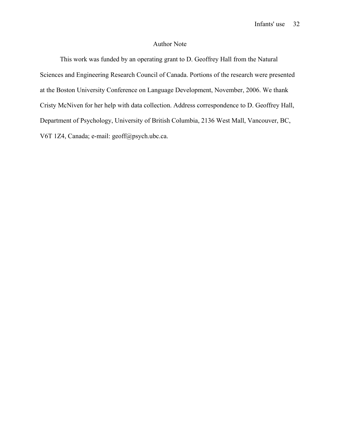# Author Note

This work was funded by an operating grant to D. Geoffrey Hall from the Natural Sciences and Engineering Research Council of Canada. Portions of the research were presented at the Boston University Conference on Language Development, November, 2006. We thank Cristy McNiven for her help with data collection. Address correspondence to D. Geoffrey Hall, Department of Psychology, University of British Columbia, 2136 West Mall, Vancouver, BC, V6T 1Z4, Canada; e-mail: geoff@psych.ubc.ca.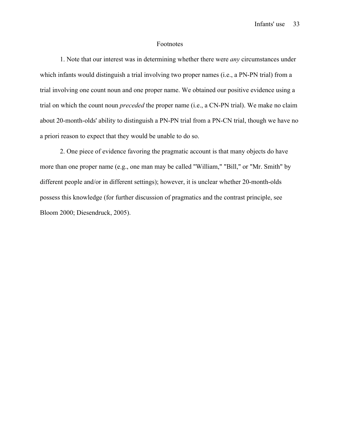#### Footnotes

1. Note that our interest was in determining whether there were *any* circumstances under which infants would distinguish a trial involving two proper names (i.e., a PN-PN trial) from a trial involving one count noun and one proper name. We obtained our positive evidence using a trial on which the count noun *preceded* the proper name (i.e., a CN-PN trial). We make no claim about 20-month-olds' ability to distinguish a PN-PN trial from a PN-CN trial, though we have no a priori reason to expect that they would be unable to do so.

2. One piece of evidence favoring the pragmatic account is that many objects do have more than one proper name (e.g., one man may be called "William," "Bill," or "Mr. Smith" by different people and/or in different settings); however, it is unclear whether 20-month-olds possess this knowledge (for further discussion of pragmatics and the contrast principle, see Bloom 2000; Diesendruck, 2005).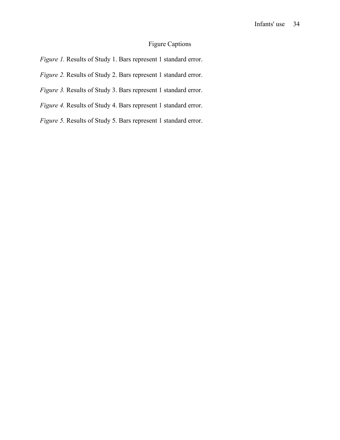# Figure Captions

*Figure 1.* Results of Study 1. Bars represent 1 standard error.

- *Figure 2.* Results of Study 2. Bars represent 1 standard error.
- *Figure 3.* Results of Study 3. Bars represent 1 standard error.
- *Figure 4.* Results of Study 4. Bars represent 1 standard error.
- *Figure 5.* Results of Study 5. Bars represent 1 standard error.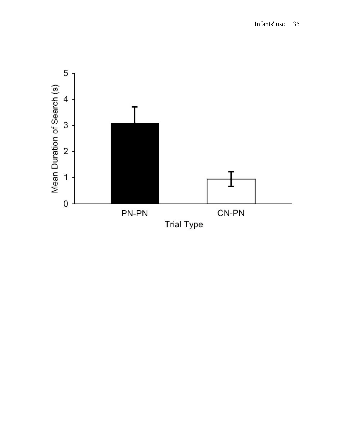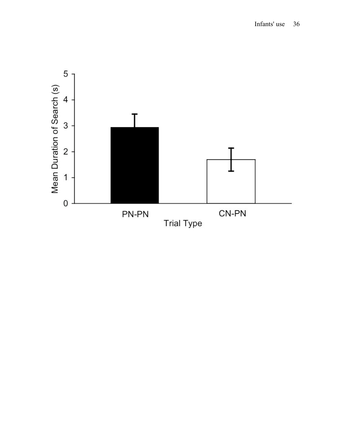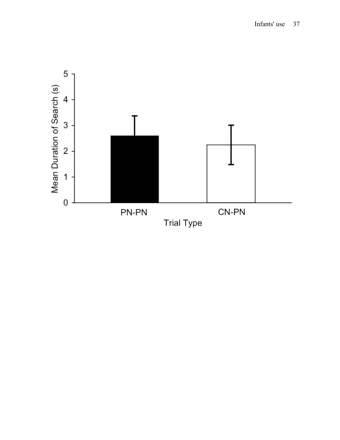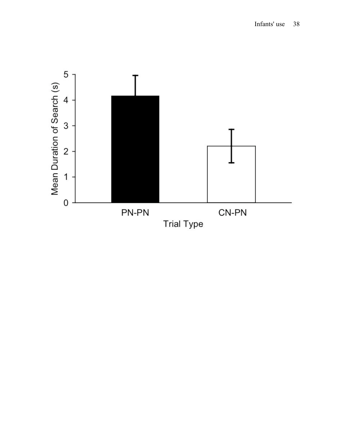